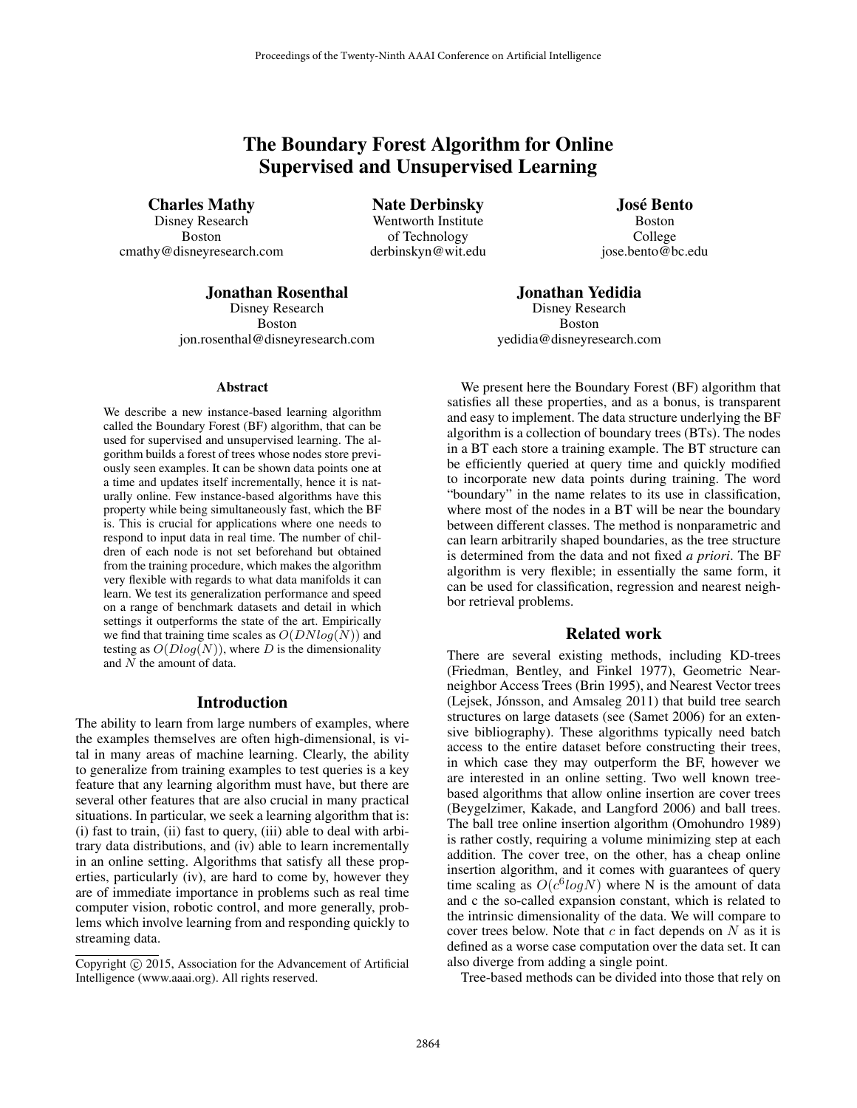# The Boundary Forest Algorithm for Online Supervised and Unsupervised Learning

Charles Mathy

Disney Research Boston cmathy@disneyresearch.com

Nate Derbinsky Wentworth Institute of Technology derbinskyn@wit.edu

José Bento Boston College jose.bento@bc.edu

## Jonathan Rosenthal

Disney Research Boston jon.rosenthal@disneyresearch.com

#### Abstract

We describe a new instance-based learning algorithm called the Boundary Forest (BF) algorithm, that can be used for supervised and unsupervised learning. The algorithm builds a forest of trees whose nodes store previously seen examples. It can be shown data points one at a time and updates itself incrementally, hence it is naturally online. Few instance-based algorithms have this property while being simultaneously fast, which the BF is. This is crucial for applications where one needs to respond to input data in real time. The number of children of each node is not set beforehand but obtained from the training procedure, which makes the algorithm very flexible with regards to what data manifolds it can learn. We test its generalization performance and speed on a range of benchmark datasets and detail in which settings it outperforms the state of the art. Empirically we find that training time scales as  $O(DNlog(N))$  and testing as  $O(Dlog(N))$ , where D is the dimensionality and N the amount of data.

## Introduction

The ability to learn from large numbers of examples, where the examples themselves are often high-dimensional, is vital in many areas of machine learning. Clearly, the ability to generalize from training examples to test queries is a key feature that any learning algorithm must have, but there are several other features that are also crucial in many practical situations. In particular, we seek a learning algorithm that is: (i) fast to train, (ii) fast to query, (iii) able to deal with arbitrary data distributions, and (iv) able to learn incrementally in an online setting. Algorithms that satisfy all these properties, particularly (iv), are hard to come by, however they are of immediate importance in problems such as real time computer vision, robotic control, and more generally, problems which involve learning from and responding quickly to streaming data.

yedidia@disneyresearch.com We present here the Boundary Forest (BF) algorithm that satisfies all these properties, and as a bonus, is transparent and easy to implement. The data structure underlying the BF algorithm is a collection of boundary trees (BTs). The nodes in a BT each store a training example. The BT structure can be efficiently queried at query time and quickly modified

Jonathan Yedidia Disney Research Boston

to incorporate new data points during training. The word "boundary" in the name relates to its use in classification, where most of the nodes in a BT will be near the boundary between different classes. The method is nonparametric and can learn arbitrarily shaped boundaries, as the tree structure is determined from the data and not fixed *a priori*. The BF algorithm is very flexible; in essentially the same form, it can be used for classification, regression and nearest neighbor retrieval problems.

## Related work

There are several existing methods, including KD-trees (Friedman, Bentley, and Finkel 1977), Geometric Nearneighbor Access Trees (Brin 1995), and Nearest Vector trees (Lejsek, Jónsson, and Amsaleg 2011) that build tree search structures on large datasets (see (Samet 2006) for an extensive bibliography). These algorithms typically need batch access to the entire dataset before constructing their trees, in which case they may outperform the BF, however we are interested in an online setting. Two well known treebased algorithms that allow online insertion are cover trees (Beygelzimer, Kakade, and Langford 2006) and ball trees. The ball tree online insertion algorithm (Omohundro 1989) is rather costly, requiring a volume minimizing step at each addition. The cover tree, on the other, has a cheap online insertion algorithm, and it comes with guarantees of query time scaling as  $O(c^6 log N)$  where N is the amount of data and c the so-called expansion constant, which is related to the intrinsic dimensionality of the data. We will compare to cover trees below. Note that  $c$  in fact depends on  $N$  as it is defined as a worse case computation over the data set. It can also diverge from adding a single point.

Tree-based methods can be divided into those that rely on

Copyright  $\odot$  2015, Association for the Advancement of Artificial Intelligence (www.aaai.org). All rights reserved.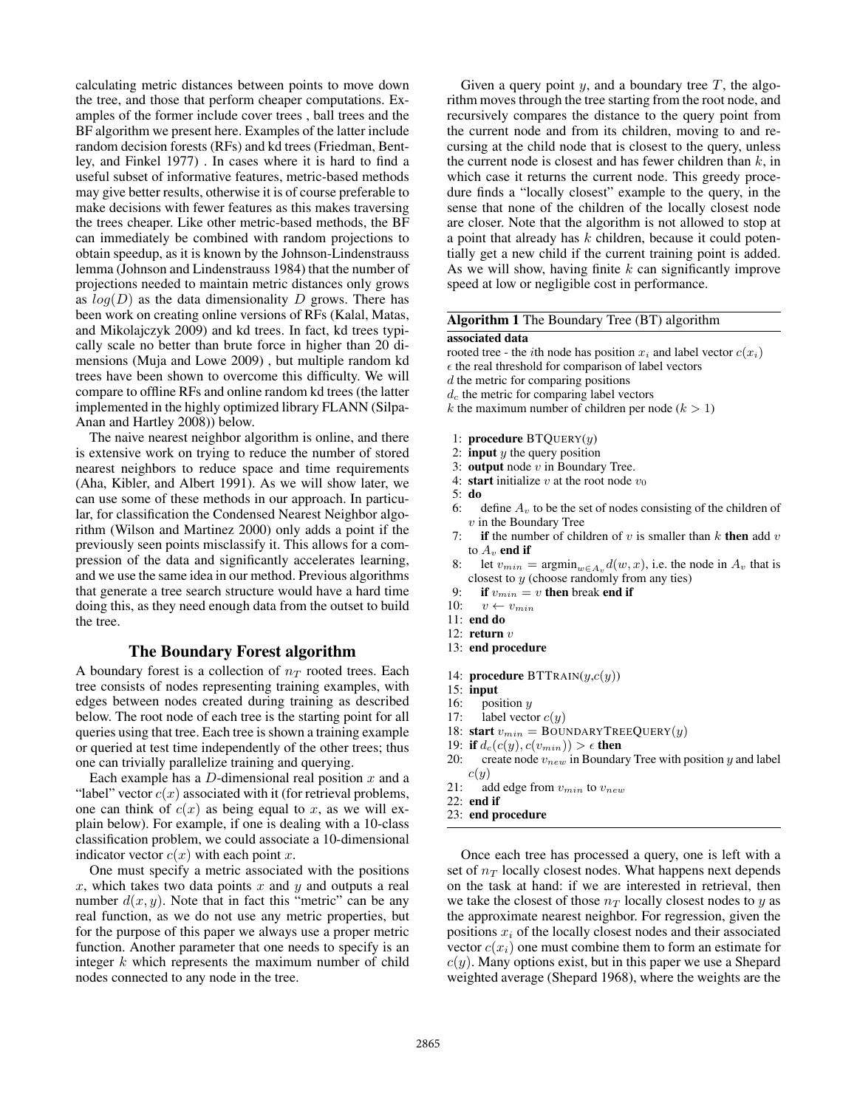calculating metric distances between points to move down the tree, and those that perform cheaper computations. Examples of the former include cover trees , ball trees and the BF algorithm we present here. Examples of the latter include random decision forests (RFs) and kd trees (Friedman, Bentley, and Finkel 1977) . In cases where it is hard to find a useful subset of informative features, metric-based methods may give better results, otherwise it is of course preferable to make decisions with fewer features as this makes traversing the trees cheaper. Like other metric-based methods, the BF can immediately be combined with random projections to obtain speedup, as it is known by the Johnson-Lindenstrauss lemma (Johnson and Lindenstrauss 1984) that the number of projections needed to maintain metric distances only grows as  $log(D)$  as the data dimensionality D grows. There has been work on creating online versions of RFs (Kalal, Matas, and Mikolajczyk 2009) and kd trees. In fact, kd trees typically scale no better than brute force in higher than 20 dimensions (Muja and Lowe 2009) , but multiple random kd trees have been shown to overcome this difficulty. We will compare to offline RFs and online random kd trees (the latter implemented in the highly optimized library FLANN (Silpa-Anan and Hartley 2008)) below.

The naive nearest neighbor algorithm is online, and there is extensive work on trying to reduce the number of stored nearest neighbors to reduce space and time requirements (Aha, Kibler, and Albert 1991). As we will show later, we can use some of these methods in our approach. In particular, for classification the Condensed Nearest Neighbor algorithm (Wilson and Martinez 2000) only adds a point if the previously seen points misclassify it. This allows for a compression of the data and significantly accelerates learning, and we use the same idea in our method. Previous algorithms that generate a tree search structure would have a hard time doing this, as they need enough data from the outset to build the tree.

## The Boundary Forest algorithm

A boundary forest is a collection of  $n<sub>T</sub>$  rooted trees. Each tree consists of nodes representing training examples, with edges between nodes created during training as described below. The root node of each tree is the starting point for all queries using that tree. Each tree is shown a training example or queried at test time independently of the other trees; thus one can trivially parallelize training and querying.

Each example has a  $D$ -dimensional real position  $x$  and a "label" vector  $c(x)$  associated with it (for retrieval problems, one can think of  $c(x)$  as being equal to x, as we will explain below). For example, if one is dealing with a 10-class classification problem, we could associate a 10-dimensional indicator vector  $c(x)$  with each point x.

One must specify a metric associated with the positions x, which takes two data points x and y and outputs a real number  $d(x, y)$ . Note that in fact this "metric" can be any real function, as we do not use any metric properties, but for the purpose of this paper we always use a proper metric function. Another parameter that one needs to specify is an integer  $k$  which represents the maximum number of child nodes connected to any node in the tree.

Given a query point y, and a boundary tree  $T$ , the algorithm moves through the tree starting from the root node, and recursively compares the distance to the query point from the current node and from its children, moving to and recursing at the child node that is closest to the query, unless the current node is closest and has fewer children than  $k$ , in which case it returns the current node. This greedy procedure finds a "locally closest" example to the query, in the sense that none of the children of the locally closest node are closer. Note that the algorithm is not allowed to stop at a point that already has  $k$  children, because it could potentially get a new child if the current training point is added. As we will show, having finite  $k$  can significantly improve speed at low or negligible cost in performance.

## Algorithm 1 The Boundary Tree (BT) algorithm

### associated data

- rooted tree the *i*th node has position  $x_i$  and label vector  $c(x_i)$
- $\epsilon$  the real threshold for comparison of label vectors
- d the metric for comparing positions
- $d_c$  the metric for comparing label vectors
- k the maximum number of children per node ( $k > 1$ )
- 1: **procedure**  $BTQUERY(y)$
- 2: **input**  $y$  the query position
- 3: output node  $v$  in Boundary Tree.
- 4: start initialize v at the root node  $v_0$
- 5: do
- 6: define  $A_v$  to be the set of nodes consisting of the children of  $v$  in the Boundary Tree
- 7: if the number of children of v is smaller than  $k$  then add  $v$ to  $A_v$  end if
- 8: let  $v_{min} = \operatorname{argmin}_{w \in A_v} d(w, x)$ , i.e. the node in  $A_v$  that is closest to  $y$  (choose randomly from any ties)
- 9: if  $v_{min} = v$  then break end if <br>10:  $v \leftarrow v_{min}$
- $v \leftarrow v_{min}$
- 11: end do
- 12: return  $v$
- 13: end procedure
- 14: **procedure**  $\text{BTTRAIN}(y, c(y))$
- 15: input
- 16: position  $y$ <br>17: label vector
- label vector  $c(y)$
- 18: start  $v_{min} = \text{BOUNDARYTreeQuery}(y)$
- 19: if  $d_c(c(y), c(v_{min})) > \epsilon$  then
- 20: create node  $v_{new}$  in Boundary Tree with position y and label  $c(y)$
- 21: add edge from  $v_{min}$  to  $v_{new}$
- 22: end if
- 23: end procedure

Once each tree has processed a query, one is left with a set of  $n_T$  locally closest nodes. What happens next depends on the task at hand: if we are interested in retrieval, then we take the closest of those  $n_T$  locally closest nodes to y as the approximate nearest neighbor. For regression, given the positions  $x_i$  of the locally closest nodes and their associated vector  $c(x_i)$  one must combine them to form an estimate for  $c(y)$ . Many options exist, but in this paper we use a Shepard weighted average (Shepard 1968), where the weights are the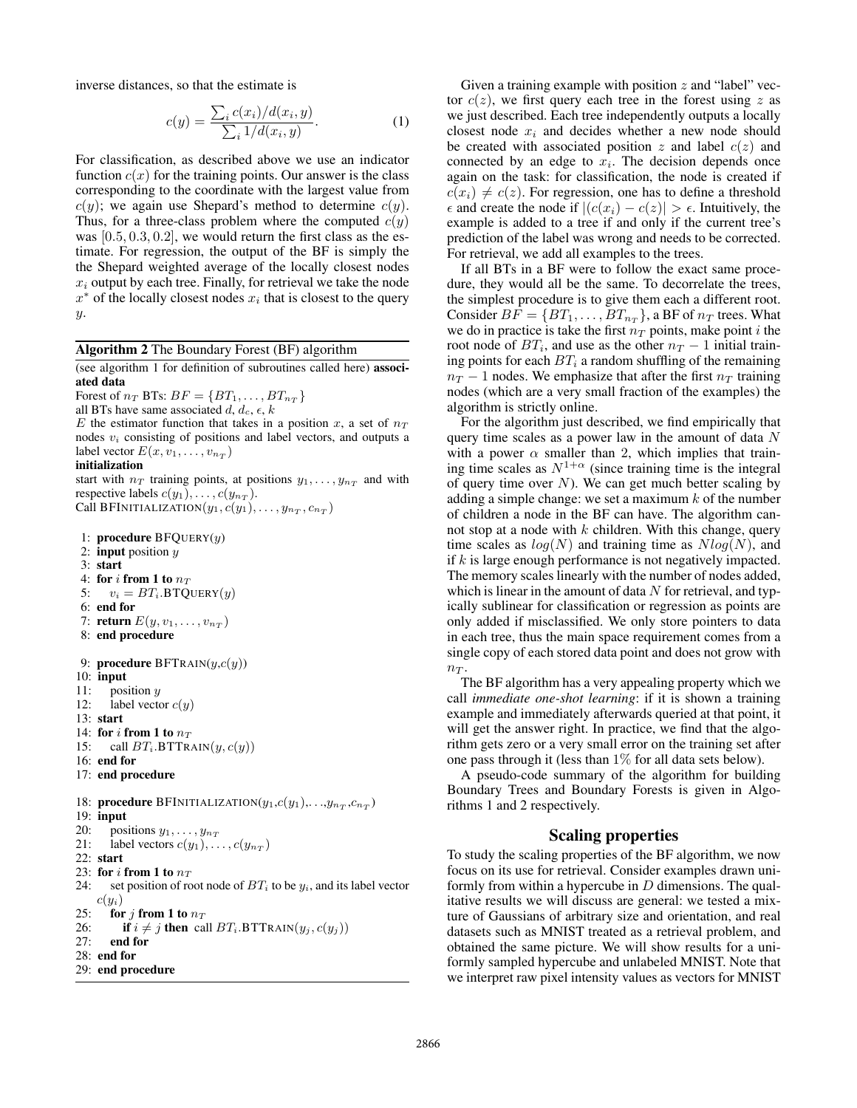inverse distances, so that the estimate is

$$
c(y) = \frac{\sum_{i} c(x_i)/d(x_i, y)}{\sum_{i} 1/d(x_i, y)}.
$$
 (1)

For classification, as described above we use an indicator function  $c(x)$  for the training points. Our answer is the class corresponding to the coordinate with the largest value from  $c(y)$ ; we again use Shepard's method to determine  $c(y)$ . Thus, for a three-class problem where the computed  $c(y)$ was  $[0.5, 0.3, 0.2]$ , we would return the first class as the estimate. For regression, the output of the BF is simply the the Shepard weighted average of the locally closest nodes  $x_i$  output by each tree. Finally, for retrieval we take the node  $x^*$  of the locally closest nodes  $x_i$  that is closest to the query y.

#### Algorithm 2 The Boundary Forest (BF) algorithm

(see algorithm 1 for definition of subroutines called here) associated data

Forest of  $n_T$  BTs:  $BF = \{BT_1, \ldots, BT_{n_T}\}$ 

all BTs have same associated  $d, d_c, \epsilon, k$ 

E the estimator function that takes in a position x, a set of  $n<sub>T</sub>$ nodes  $v_i$  consisting of positions and label vectors, and outputs a label vector  $E(x, v_1, \ldots, v_{n_T})$ 

#### initialization

start with  $n_T$  training points, at positions  $y_1, \ldots, y_{n_T}$  and with respective labels  $c(y_1), \ldots, c(y_{nT})$ . Call BFINITIALIZATION $(y_1, c(y_1), \ldots, y_{n_T}, c_{n_T})$ 

```
1: procedure BFQUERY(y)2: input position y3: start
 4: for i from 1 to n_T5: v_i = BT_i. BTQUERY(y)6: end for
 7: return E(y, v_1, \ldots, v_{n_T})8: end procedure
 9: procedure BFTRAIN(y, c(y))10: input
11: position y12: label vector c(y)13: start
14: for i from 1 to n_T<br>15: call BT_i.BTTR.
       call BT_i.BTTRAIN(y, c(y))16: end for
17: end procedure
18: procedure BFINITIALIZATION(y_1,c(y_1),...,y_{n_T},c_{n_T})19: input
20: positions y_1, \ldots, y_{n_T}<br>21: label vectors c(y_1), \ldotslabel vectors c(y_1), \ldots, c(y_{n_T})22: start
23: for i from 1 to n_T24: set position of root node of BT_i to be y_i, and its label vector
    c(y_i)25: for j from 1 to n_T26: if i \neq j then call BT_i.BTTRAIN(y_j, c(y_j))<br>27: end for
       end for
28: end for
29: end procedure
```
Given a training example with position  $z$  and "label" vector  $c(z)$ , we first query each tree in the forest using z as we just described. Each tree independently outputs a locally closest node  $x_i$  and decides whether a new node should be created with associated position  $z$  and label  $c(z)$  and connected by an edge to  $x_i$ . The decision depends once again on the task: for classification, the node is created if  $c(x_i) \neq c(z)$ . For regression, one has to define a threshold  $\epsilon$  and create the node if  $|(c(x_i) - c(z)| > \epsilon)$ . Intuitively, the example is added to a tree if and only if the current tree's prediction of the label was wrong and needs to be corrected. For retrieval, we add all examples to the trees.

If all BTs in a BF were to follow the exact same procedure, they would all be the same. To decorrelate the trees, the simplest procedure is to give them each a different root. Consider  $BF = \{BT_1, \ldots, BT_{n_T}\}$ , a BF of  $n_T$  trees. What we do in practice is take the first  $n_T$  points, make point i the root node of  $BT_i$ , and use as the other  $n_T - 1$  initial training points for each  $BT_i$  a random shuffling of the remaining  $n_T - 1$  nodes. We emphasize that after the first  $n_T$  training nodes (which are a very small fraction of the examples) the algorithm is strictly online.

For the algorithm just described, we find empirically that query time scales as a power law in the amount of data  $N$ with a power  $\alpha$  smaller than 2, which implies that training time scales as  $N^{1+\alpha}$  (since training time is the integral of query time over  $N$ ). We can get much better scaling by adding a simple change: we set a maximum  $k$  of the number of children a node in the BF can have. The algorithm cannot stop at a node with  $k$  children. With this change, query time scales as  $log(N)$  and training time as  $Nlog(N)$ , and if k is large enough performance is not negatively impacted. The memory scales linearly with the number of nodes added, which is linear in the amount of data  $N$  for retrieval, and typically sublinear for classification or regression as points are only added if misclassified. We only store pointers to data in each tree, thus the main space requirement comes from a single copy of each stored data point and does not grow with  $n_T$ .

The BF algorithm has a very appealing property which we call *immediate one-shot learning*: if it is shown a training example and immediately afterwards queried at that point, it will get the answer right. In practice, we find that the algorithm gets zero or a very small error on the training set after one pass through it (less than 1% for all data sets below).

A pseudo-code summary of the algorithm for building Boundary Trees and Boundary Forests is given in Algorithms 1 and 2 respectively.

## Scaling properties

To study the scaling properties of the BF algorithm, we now focus on its use for retrieval. Consider examples drawn uniformly from within a hypercube in  $D$  dimensions. The qualitative results we will discuss are general: we tested a mixture of Gaussians of arbitrary size and orientation, and real datasets such as MNIST treated as a retrieval problem, and obtained the same picture. We will show results for a uniformly sampled hypercube and unlabeled MNIST. Note that we interpret raw pixel intensity values as vectors for MNIST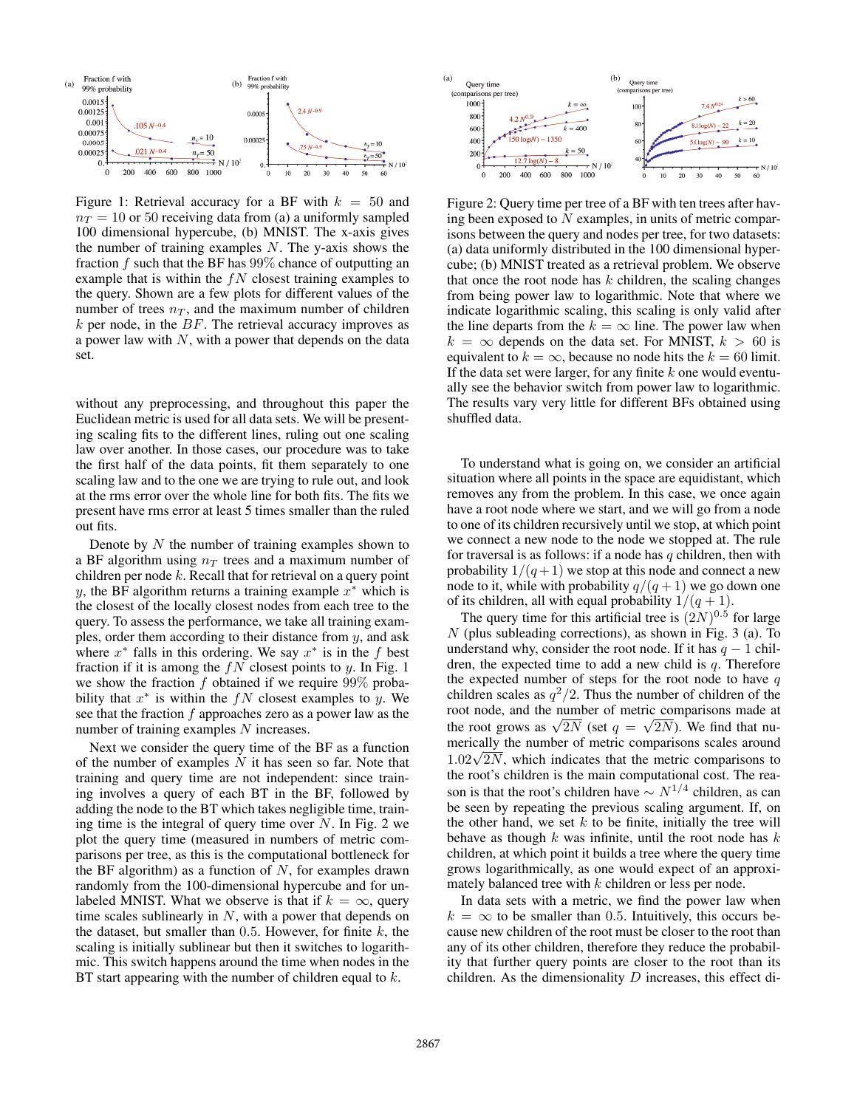

Figure 1: Retrieval accuracy for a BF with  $k = 50$  and  $n_T = 10$  or 50 receiving data from (a) a uniformly sampled 100 dimensional hypercube, (b) MNIST. The x-axis gives the number of training examples  $N$ . The y-axis shows the fraction  $f$  such that the BF has  $99\%$  chance of outputting an example that is within the  $fN$  closest training examples to the query. Shown are a few plots for different values of the number of trees  $n<sub>T</sub>$ , and the maximum number of children  $k$  per node, in the  $BF$ . The retrieval accuracy improves as a power law with  $N$ , with a power that depends on the data set.

without any preprocessing, and throughout this paper the Euclidean metric is used for all data sets. We will be presenting scaling fits to the different lines, ruling out one scaling law over another. In those cases, our procedure was to take the first half of the data points, fit them separately to one scaling law and to the one we are trying to rule out, and look at the rms error over the whole line for both fits. The fits we present have rms error at least 5 times smaller than the ruled out fits.

Denote by  $N$  the number of training examples shown to a BF algorithm using  $n_T$  trees and a maximum number of children per node  $k$ . Recall that for retrieval on a query point y, the BF algorithm returns a training example  $x^*$  which is the closest of the locally closest nodes from each tree to the query. To assess the performance, we take all training examples, order them according to their distance from  $y$ , and ask where  $x^*$  falls in this ordering. We say  $x^*$  is in the f best fraction if it is among the  $fN$  closest points to y. In Fig. 1 we show the fraction f obtained if we require  $99\%$  probability that  $x^*$  is within the  $fN$  closest examples to y. We see that the fraction  $f$  approaches zero as a power law as the number of training examples N increases.

Next we consider the query time of the BF as a function of the number of examples  $N$  it has seen so far. Note that training and query time are not independent: since training involves a query of each BT in the BF, followed by adding the node to the BT which takes negligible time, training time is the integral of query time over  $N$ . In Fig. 2 we plot the query time (measured in numbers of metric comparisons per tree, as this is the computational bottleneck for the BF algorithm) as a function of  $N$ , for examples drawn randomly from the 100-dimensional hypercube and for unlabeled MNIST. What we observe is that if  $k = \infty$ , query time scales sublinearly in  $N$ , with a power that depends on the dataset, but smaller than  $0.5$ . However, for finite  $k$ , the scaling is initially sublinear but then it switches to logarithmic. This switch happens around the time when nodes in the BT start appearing with the number of children equal to  $k$ .



Figure 2: Query time per tree of a BF with ten trees after having been exposed to  $N$  examples, in units of metric comparisons between the query and nodes per tree, for two datasets: (a) data uniformly distributed in the 100 dimensional hypercube; (b) MNIST treated as a retrieval problem. We observe that once the root node has  $k$  children, the scaling changes from being power law to logarithmic. Note that where we indicate logarithmic scaling, this scaling is only valid after the line departs from the  $k = \infty$  line. The power law when  $k = \infty$  depends on the data set. For MNIST,  $k > 60$  is equivalent to  $k = \infty$ , because no node hits the  $k = 60$  limit. If the data set were larger, for any finite  $k$  one would eventually see the behavior switch from power law to logarithmic. The results vary very little for different BFs obtained using shuffled data.

To understand what is going on, we consider an artificial situation where all points in the space are equidistant, which removes any from the problem. In this case, we once again have a root node where we start, and we will go from a node to one of its children recursively until we stop, at which point we connect a new node to the node we stopped at. The rule for traversal is as follows: if a node has  $q$  children, then with probability  $1/(q+1)$  we stop at this node and connect a new node to it, while with probability  $q/(q+1)$  we go down one of its children, all with equal probability  $1/(q+1)$ .

The query time for this artificial tree is  $(2N)^{0.5}$  for large  $N$  (plus subleading corrections), as shown in Fig. 3 (a). To understand why, consider the root node. If it has  $q - 1$  children, the expected time to add a new child is  $q$ . Therefore the expected number of steps for the root node to have  $q$ children scales as  $q^2/2$ . Thus the number of children of the root node, and the number of metric comparisons made at the root grows as  $\sqrt{2N}$  (set  $q = \sqrt{2N}$ ). We find that numerically the number of metric comparisons scales around merically the number of metric comparisons scales around  $1.02\sqrt{2N}$ , which indicates that the metric comparisons to the root's children is the main computational cost. The reason is that the root's children have  $\sim N^{1/4}$  children, as can be seen by repeating the previous scaling argument. If, on the other hand, we set  $k$  to be finite, initially the tree will behave as though  $k$  was infinite, until the root node has  $k$ children, at which point it builds a tree where the query time grows logarithmically, as one would expect of an approximately balanced tree with  $k$  children or less per node.

In data sets with a metric, we find the power law when  $k = \infty$  to be smaller than 0.5. Intuitively, this occurs because new children of the root must be closer to the root than any of its other children, therefore they reduce the probability that further query points are closer to the root than its children. As the dimensionality  $D$  increases, this effect di-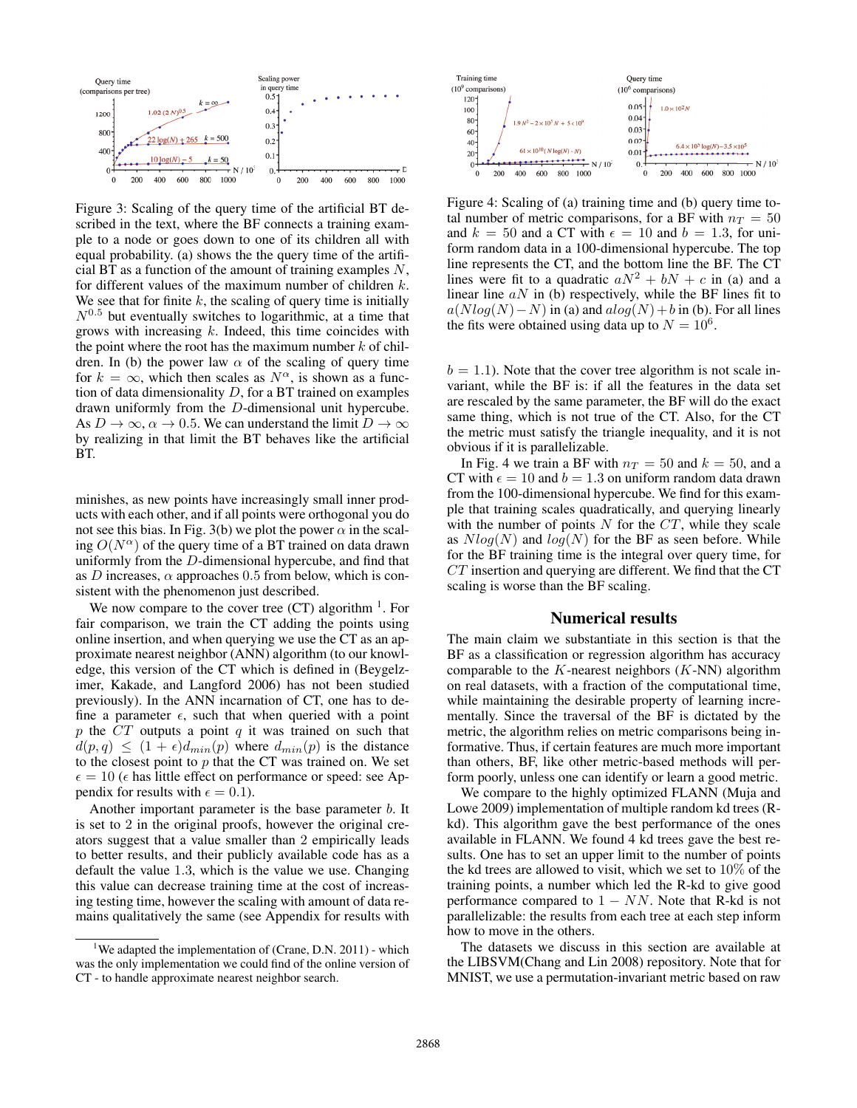

Figure 3: Scaling of the query time of the artificial BT described in the text, where the BF connects a training example to a node or goes down to one of its children all with equal probability. (a) shows the the query time of the artificial BT as a function of the amount of training examples  $N$ , for different values of the maximum number of children k. We see that for finite  $k$ , the scaling of query time is initially  $N^{0.5}$  but eventually switches to logarithmic, at a time that grows with increasing  $k$ . Indeed, this time coincides with the point where the root has the maximum number  $k$  of children. In (b) the power law  $\alpha$  of the scaling of query time for  $k = \infty$ , which then scales as  $N^{\alpha}$ , is shown as a function of data dimensionality  $D$ , for a BT trained on examples drawn uniformly from the D-dimensional unit hypercube. As  $D \to \infty$ ,  $\alpha \to 0.5$ . We can understand the limit  $D \to \infty$ by realizing in that limit the BT behaves like the artificial BT.

minishes, as new points have increasingly small inner products with each other, and if all points were orthogonal you do not see this bias. In Fig. 3(b) we plot the power  $\alpha$  in the scaling  $O(N^{\alpha})$  of the query time of a BT trained on data drawn uniformly from the D-dimensional hypercube, and find that as D increases,  $\alpha$  approaches 0.5 from below, which is consistent with the phenomenon just described.

We now compare to the cover tree  $(CT)$  algorithm  $<sup>1</sup>$ . For</sup> fair comparison, we train the CT adding the points using online insertion, and when querying we use the CT as an approximate nearest neighbor (ANN) algorithm (to our knowledge, this version of the CT which is defined in (Beygelzimer, Kakade, and Langford 2006) has not been studied previously). In the ANN incarnation of CT, one has to define a parameter  $\epsilon$ , such that when queried with a point  $p$  the CT outputs a point  $q$  it was trained on such that  $d(p,q) \leq (1+\epsilon)d_{min}(p)$  where  $d_{min}(p)$  is the distance to the closest point to  $p$  that the CT was trained on. We set  $\epsilon = 10$  ( $\epsilon$  has little effect on performance or speed: see Appendix for results with  $\epsilon = 0.1$ ).

Another important parameter is the base parameter *b*. It is set to 2 in the original proofs, however the original creators suggest that a value smaller than 2 empirically leads to better results, and their publicly available code has as a default the value 1.3, which is the value we use. Changing this value can decrease training time at the cost of increasing testing time, however the scaling with amount of data remains qualitatively the same (see Appendix for results with



Figure 4: Scaling of (a) training time and (b) query time total number of metric comparisons, for a BF with  $n_T = 50$ and  $k = 50$  and a CT with  $\epsilon = 10$  and  $b = 1.3$ , for uniform random data in a 100-dimensional hypercube. The top line represents the CT, and the bottom line the BF. The CT lines were fit to a quadratic  $aN^2 + bN + c$  in (a) and a linear line  $aN$  in (b) respectively, while the BF lines fit to  $a(Nlog(N)-N)$  in (a) and  $alog(N)+b$  in (b). For all lines the fits were obtained using data up to  $N = 10^6$ .

 $b = 1.1$ ). Note that the cover tree algorithm is not scale invariant, while the BF is: if all the features in the data set are rescaled by the same parameter, the BF will do the exact same thing, which is not true of the CT. Also, for the CT the metric must satisfy the triangle inequality, and it is not obvious if it is parallelizable.

In Fig. 4 we train a BF with  $n_T = 50$  and k = 50, and a CT with  $\epsilon = 10$  and  $b = 1.3$  on uniform random data drawn from the 100-dimensional hypercube. We find for this example that training scales quadratically, and querying linearly with the number of points  $N$  for the  $CT$ , while they scale as  $Nlog(N)$  and  $log(N)$  for the BF as seen before. While for the BF training time is the integral over query time, for  $CT$  insertion and querying are different. We find that the CT scaling is worse than the BF scaling.

## Numerical results

The main claim we substantiate in this section is that the BF as a classification or regression algorithm has accuracy comparable to the  $K$ -nearest neighbors  $(K-NN)$  algorithm on real datasets, with a fraction of the computational time, while maintaining the desirable property of learning incrementally. Since the traversal of the BF is dictated by the metric, the algorithm relies on metric comparisons being informative. Thus, if certain features are much more important than others, BF, like other metric-based methods will perform poorly, unless one can identify or learn a good metric.

We compare to the highly optimized FLANN (Muja and Lowe 2009) implementation of multiple random kd trees (Rkd). This algorithm gave the best performance of the ones available in FLANN. We found 4 kd trees gave the best results. One has to set an upper limit to the number of points the kd trees are allowed to visit, which we set to 10% of the training points, a number which led the R-kd to give good performance compared to  $1 - NN$ . Note that R-kd is not parallelizable: the results from each tree at each step inform how to move in the others.

The datasets we discuss in this section are available at the LIBSVM(Chang and Lin 2008) repository. Note that for MNIST, we use a permutation-invariant metric based on raw

<sup>&</sup>lt;sup>1</sup>We adapted the implementation of (Crane, D.N. 2011) - which was the only implementation we could find of the online version of CT - to handle approximate nearest neighbor search.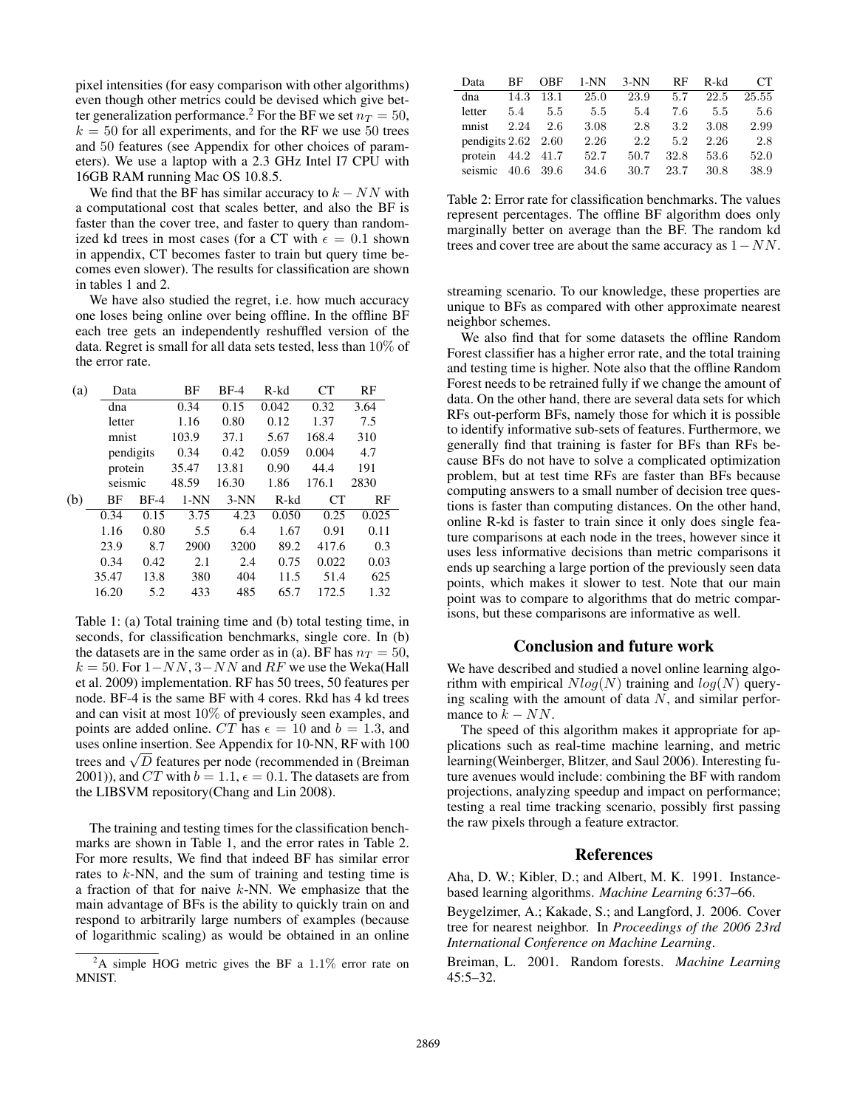pixel intensities (for easy comparison with other algorithms) even though other metrics could be devised which give better generalization performance.<sup>2</sup> For the BF we set  $n_T = 50$ ,  $k = 50$  for all experiments, and for the RF we use 50 trees and 50 features (see Appendix for other choices of parameters). We use a laptop with a 2.3 GHz Intel I7 CPU with 16GB RAM running Mac OS 10.8.5.

We find that the BF has similar accuracy to  $k - NN$  with a computational cost that scales better, and also the BF is faster than the cover tree, and faster to query than randomized kd trees in most cases (for a CT with  $\epsilon = 0.1$  shown in appendix, CT becomes faster to train but query time becomes even slower). The results for classification are shown in tables 1 and 2.

We have also studied the regret, i.e. how much accuracy one loses being online over being offline. In the offline BF each tree gets an independently reshuffled version of the data. Regret is small for all data sets tested, less than 10% of the error rate.

| (a) |                                 | Data   |       | $BF-4$ | <b>CT</b><br>R-kd |       | RF    |  |
|-----|---------------------------------|--------|-------|--------|-------------------|-------|-------|--|
|     | dna                             |        |       | 0.15   | 0.042             | 0.32  | 3.64  |  |
|     | letter                          |        | 1.16  | 0.80   | 0.12              | 1.37  | 7.5   |  |
|     | mnist                           |        | 103.9 | 37.1   | 5.67              | 168.4 | 310   |  |
|     | pendigits<br>protein<br>seismic |        | 0.34  | 0.42   | 0.059             | 0.004 | 4.7   |  |
|     |                                 |        | 35.47 | 13.81  | 0.90              | 44.4  | 191   |  |
|     |                                 |        | 48.59 | 16.30  | 1.86              | 176.1 | 2830  |  |
| (b) | BF                              | $BF-4$ |       | $3-NN$ | $R-kd$<br>CT      |       | RF    |  |
|     | 0.34                            | 0.15   | 3.75  | 4.23   | 0.050             | 0.25  | 0.025 |  |
|     | 1.16                            | 0.80   | 5.5   | 6.4    | 1.67              | 0.91  | 0.11  |  |
|     | 23.9                            | 8.7    | 2900  | 3200   | 89.2              | 417.6 | 0.3   |  |
|     | 0.34                            | 0.42   | 2.1   | 2.4    | 0.75              | 0.022 | 0.03  |  |
|     | 35.47                           | 13.8   | 380   | 404    | 11.5              | 51.4  | 625   |  |
|     | 16.20                           | 5.2    | 433   | 485    | 65.7              | 172.5 | 1.32  |  |

Table 1: (a) Total training time and (b) total testing time, in seconds, for classification benchmarks, single core. In (b) the datasets are in the same order as in (a). BF has  $n_T = 50$ ,  $k = 50$ . For  $1 - NN$ ,  $3 - NN$  and  $RF$  we use the Weka(Hall et al. 2009) implementation. RF has 50 trees, 50 features per node. BF-4 is the same BF with 4 cores. Rkd has 4 kd trees and can visit at most 10% of previously seen examples, and points are added online. CT has  $\epsilon = 10$  and  $b = 1.3$ , and uses online insertion. See Appendix for 10-NN, RF with 100 the difference and  $\sqrt{D}$  features per node (recommended in (Breiman 2001)), and CT with  $b = 1.1$ ,  $\epsilon = 0.1$ . The datasets are from the LIBSVM repository(Chang and Lin 2008).

The training and testing times for the classification benchmarks are shown in Table 1, and the error rates in Table 2. For more results, We find that indeed BF has similar error rates to  $k$ -NN, and the sum of training and testing time is a fraction of that for naive k-NN. We emphasize that the main advantage of BFs is the ability to quickly train on and respond to arbitrarily large numbers of examples (because of logarithmic scaling) as would be obtained in an online

| Data                        | ВF   | OBF       | 1-NN | $3-NN$ | RF   | R-kd | CТ    |
|-----------------------------|------|-----------|------|--------|------|------|-------|
| dna                         | 14.3 | 13.1      | 25.0 | 23.9   | 5.7  | 22.5 | 25.55 |
| letter                      | 5.4  | 5.5       | 5.5  | 5.4    | 7.6  | 5.5  | 5.6   |
| mnist                       | 2.24 | 2.6       | 3.08 | 2.8    | 3.2  | 3.08 | 2.99  |
| pendigits $2.62 \quad 2.60$ |      |           | 2.26 | 2.2    | 5.2  | 2.26 | 2.8   |
| protein                     |      | 44.2 41.7 | 52.7 | 50.7   | 32.8 | 53.6 | 52.0  |
| seismic                     | 40.6 | 39.6      | 34.6 | 30.7   | 23.7 | 30.8 | 38.9  |

Table 2: Error rate for classification benchmarks. The values represent percentages. The offline BF algorithm does only marginally better on average than the BF. The random kd trees and cover tree are about the same accuracy as  $1 - NN$ .

streaming scenario. To our knowledge, these properties are unique to BFs as compared with other approximate nearest neighbor schemes.

We also find that for some datasets the offline Random Forest classifier has a higher error rate, and the total training and testing time is higher. Note also that the offline Random Forest needs to be retrained fully if we change the amount of data. On the other hand, there are several data sets for which RFs out-perform BFs, namely those for which it is possible to identify informative sub-sets of features. Furthermore, we generally find that training is faster for BFs than RFs because BFs do not have to solve a complicated optimization problem, but at test time RFs are faster than BFs because computing answers to a small number of decision tree questions is faster than computing distances. On the other hand, online R-kd is faster to train since it only does single feature comparisons at each node in the trees, however since it uses less informative decisions than metric comparisons it ends up searching a large portion of the previously seen data points, which makes it slower to test. Note that our main point was to compare to algorithms that do metric comparisons, but these comparisons are informative as well.

## Conclusion and future work

We have described and studied a novel online learning algorithm with empirical  $Nlog(N)$  training and  $log(N)$  querying scaling with the amount of data  $N$ , and similar performance to  $k - NN$ .

The speed of this algorithm makes it appropriate for applications such as real-time machine learning, and metric learning(Weinberger, Blitzer, and Saul 2006). Interesting future avenues would include: combining the BF with random projections, analyzing speedup and impact on performance; testing a real time tracking scenario, possibly first passing the raw pixels through a feature extractor.

## References

Aha, D. W.; Kibler, D.; and Albert, M. K. 1991. Instancebased learning algorithms. *Machine Learning* 6:37–66.

Beygelzimer, A.; Kakade, S.; and Langford, J. 2006. Cover tree for nearest neighbor. In *Proceedings of the 2006 23rd International Conference on Machine Learning*.

Breiman, L. 2001. Random forests. *Machine Learning* 45:5–32.

<sup>&</sup>lt;sup>2</sup>A simple HOG metric gives the BF a  $1.1\%$  error rate on MNIST.